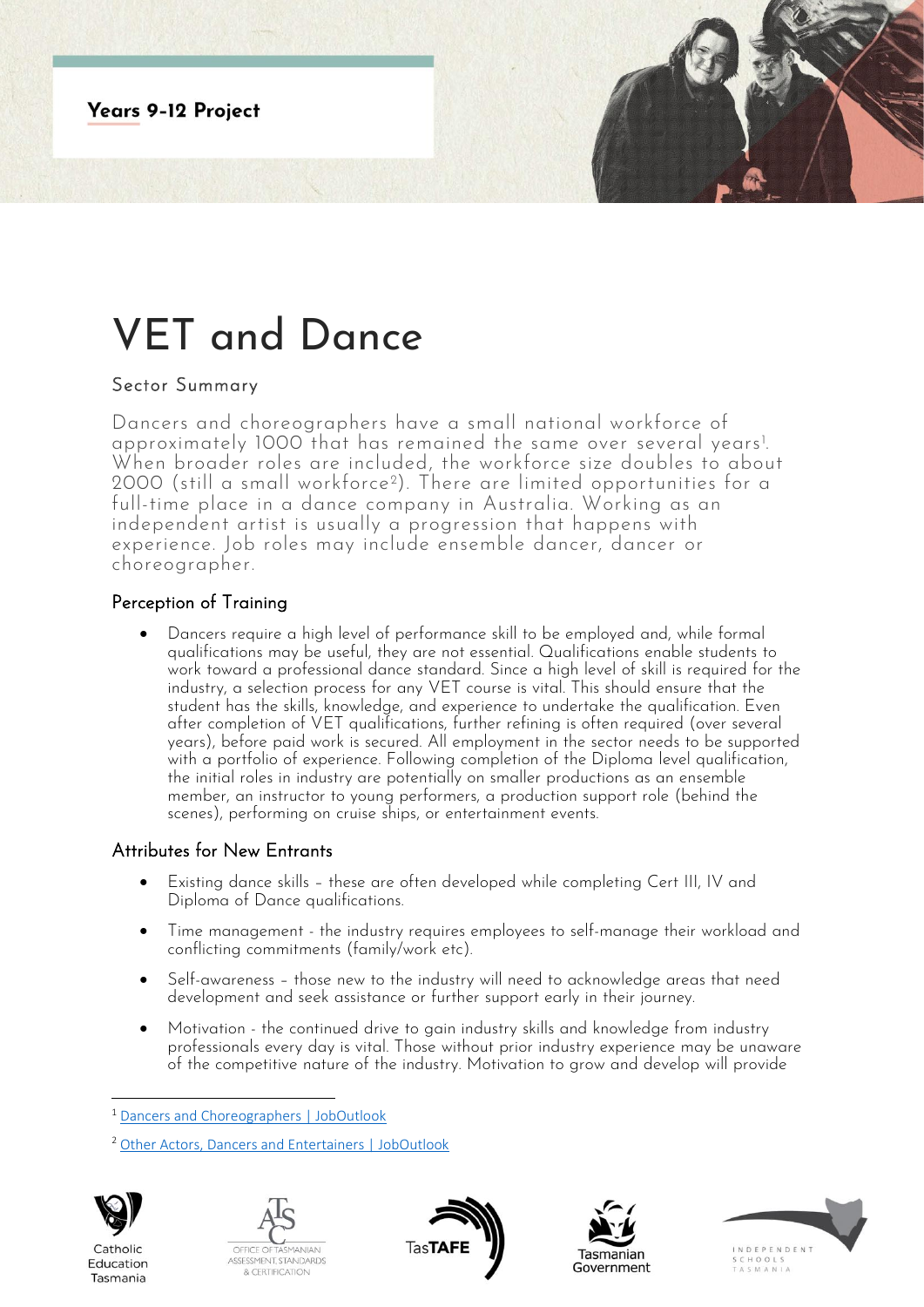

# VET and Dance

## Sector Summary

Dancers and choreographers have a small national workforce of approximately 1000 that has remained the same over several years<sup>1</sup>. When broader roles are included, the workforce size doubles to about 2000 (still a small workforce<sup>2</sup>). There are limited opportunities for a full-time place in a dance company in Australia. Working as an independent artist is usually a progression that happens with experience. Job roles may include ensemble dancer, dancer or choreographer.

### Perception of Training

• Dancers require a high level of performance skill to be employed and, while formal qualifications may be useful, they are not essential. Qualifications enable students to work toward a professional dance standard. Since a high level of skill is required for the industry, a selection process for any VET course is vital. This should ensure that the student has the skills, knowledge, and experience to undertake the qualification. Even after completion of VET qualifications, further refining is often required (over several years), before paid work is secured. All employment in the sector needs to be supported with a portfolio of experience. Following completion of the Diploma level qualification, the initial roles in industry are potentially on smaller productions as an ensemble member, an instructor to young performers, a production support role (behind the scenes), performing on cruise ships, or entertainment events.

### Attributes for New Entrants

- Existing dance skills these are often developed while completing Cert III, IV and Diploma of Dance qualifications.
- Time management the industry requires employees to self-manage their workload and conflicting commitments (family/work etc).
- Self-awareness those new to the industry will need to acknowledge areas that need development and seek assistance or further support early in their journey.
- Motivation the continued drive to gain industry skills and knowledge from industry professionals every day is vital. Those without prior industry experience may be unaware of the competitive nature of the industry. Motivation to grow and develop will provide

<sup>2</sup> [Other Actors, Dancers and Entertainers | JobOutlook](https://joboutlook.gov.au/occupations/other-actors-dancers-and-entertainers?occupationCode=211199)



Catholic

Education

Tasmania









<sup>1</sup> [Dancers and Choreographers | JobOutlook](https://joboutlook.gov.au/occupations/dancers-and-choreographers?occupationCode=211112)